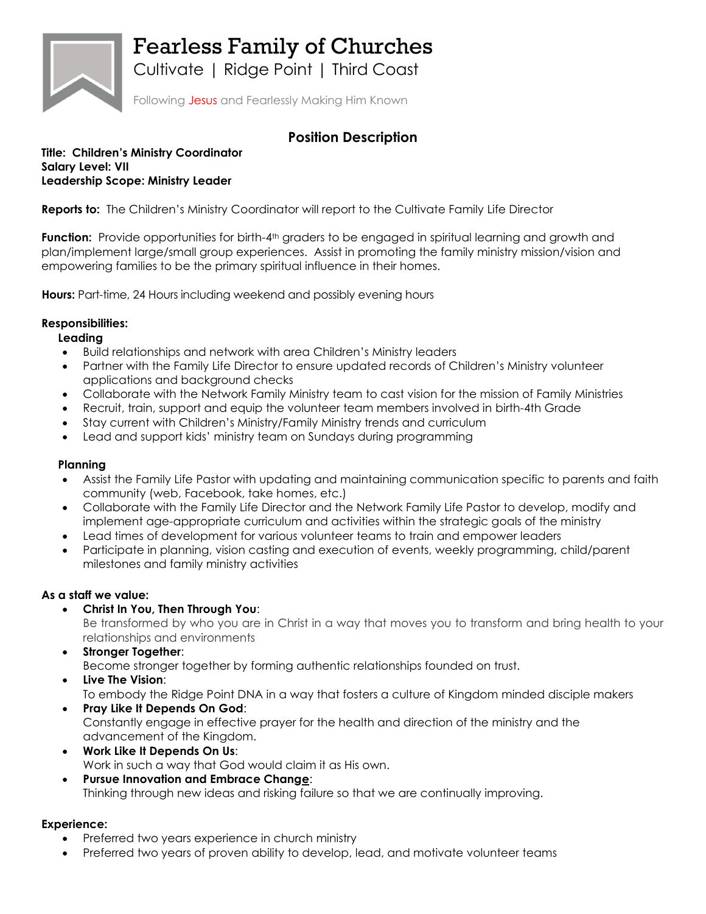

Fearless Family of Churches

Cultivate | Ridge Point | Third Coast

Following Jesus and Fearlessly Making Him Known

# **Position Description**

#### **Title: Children's Ministry Coordinator Salary Level: VII Leadership Scope: Ministry Leader**

**Reports to:** The Children's Ministry Coordinator will report to the Cultivate Family Life Director

**Function:** Provide opportunities for birth-4<sup>th</sup> graders to be engaged in spiritual learning and growth and plan/implement large/small group experiences. Assist in promoting the family ministry mission/vision and empowering families to be the primary spiritual influence in their homes.

**Hours:** Part-time, 24 Hours including weekend and possibly evening hours

## **Responsibilities:**

### **Leading**

- Build relationships and network with area Children's Ministry leaders
- Partner with the Family Life Director to ensure updated records of Children's Ministry volunteer applications and background checks
- Collaborate with the Network Family Ministry team to cast vision for the mission of Family Ministries
- Recruit, train, support and equip the volunteer team members involved in birth-4th Grade
- Stay current with Children's Ministry/Family Ministry trends and curriculum
- Lead and support kids' ministry team on Sundays during programming

## **Planning**

- Assist the Family Life Pastor with updating and maintaining communication specific to parents and faith community (web, Facebook, take homes, etc.)
- Collaborate with the Family Life Director and the Network Family Life Pastor to develop, modify and implement age-appropriate curriculum and activities within the strategic goals of the ministry
- Lead times of development for various volunteer teams to train and empower leaders
- Participate in planning, vision casting and execution of events, weekly programming, child/parent milestones and family ministry activities

### **As a staff we value:**

• **Christ In You, Then Through You**:

Be transformed by who you are in Christ in a way that moves you to transform and bring health to your relationships and environments

• **Stronger Together**:

Become stronger together by forming authentic relationships founded on trust.

- **Live The Vision**: To embody the Ridge Point DNA in a way that fosters a culture of Kingdom minded disciple makers
- **Pray Like It Depends On God**: Constantly engage in effective prayer for the health and direction of the ministry and the advancement of the Kingdom.
- **Work Like It Depends On Us**: Work in such a way that God would claim it as His own.
- **Pursue Innovation and Embrace Change**: Thinking through new ideas and risking failure so that we are continually improving.

## **Experience:**

- Preferred two years experience in church ministry
- Preferred two years of proven ability to develop, lead, and motivate volunteer teams